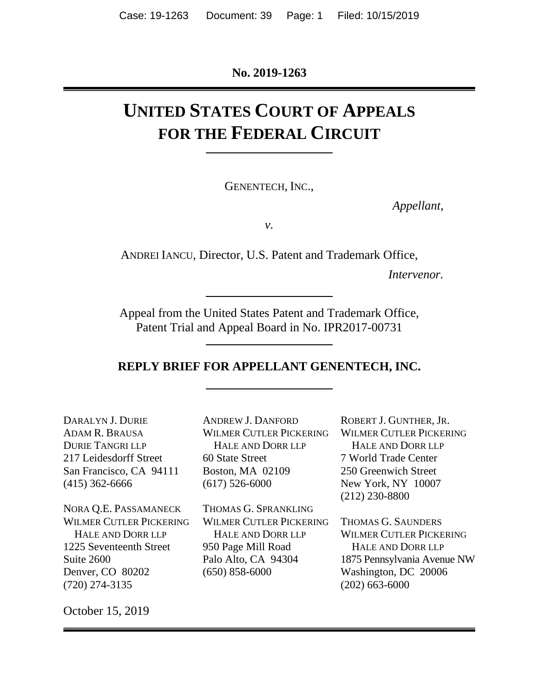**No. 2019-1263**

# **UNITED STATES COURT OF APPEALS FOR THE FEDERAL CIRCUIT**

GENENTECH, INC.,

*Appellant*,

*v.*

ANDREI IANCU, Director, U.S. Patent and Trademark Office,

*Intervenor.*

Appeal from the United States Patent and Trademark Office, Patent Trial and Appeal Board in No. IPR2017-00731

#### **REPLY BRIEF FOR APPELLANT GENENTECH, INC.**

DARALYN J. DURIE ADAM R. BRAUSA DURIE TANGRI LLP 217 Leidesdorff Street San Francisco, CA 94111 (415) 362-6666

NORA Q.E. PASSAMANECK WILMER CUTLER PICKERING HALE AND DORR LLP 1225 Seventeenth Street Suite 2600 Denver, CO 80202 (720) 274-3135

ANDREW J. DANFORD WILMER CUTLER PICKERING HALE AND DORR LLP 60 State Street Boston, MA 02109 (617) 526-6000

THOMAS G. SPRANKLING WILMER CUTLER PICKERING HALE AND DORR LLP 950 Page Mill Road Palo Alto, CA 94304 (650) 858-6000

ROBERT J. GUNTHER, JR. WILMER CUTLER PICKERING HALE AND DORR LLP 7 World Trade Center 250 Greenwich Street New York, NY 10007 (212) 230-8800

THOMAS G. SAUNDERS WILMER CUTLER PICKERING HALE AND DORR LLP 1875 Pennsylvania Avenue NW Washington, DC 20006 (202) 663-6000

October 15, 2019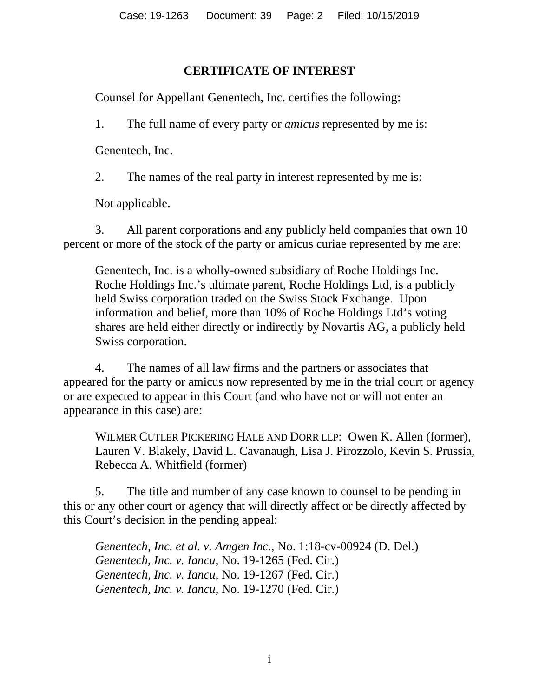## **CERTIFICATE OF INTEREST**

<span id="page-1-0"></span>Counsel for Appellant Genentech, Inc. certifies the following:

1. The full name of every party or *amicus* represented by me is:

Genentech, Inc.

2. The names of the real party in interest represented by me is:

Not applicable.

3. All parent corporations and any publicly held companies that own 10 percent or more of the stock of the party or amicus curiae represented by me are:

Genentech, Inc. is a wholly-owned subsidiary of Roche Holdings Inc. Roche Holdings Inc.'s ultimate parent, Roche Holdings Ltd, is a publicly held Swiss corporation traded on the Swiss Stock Exchange. Upon information and belief, more than 10% of Roche Holdings Ltd's voting shares are held either directly or indirectly by Novartis AG, a publicly held Swiss corporation.

4. The names of all law firms and the partners or associates that appeared for the party or amicus now represented by me in the trial court or agency or are expected to appear in this Court (and who have not or will not enter an appearance in this case) are:

WILMER CUTLER PICKERING HALE AND DORR LLP: Owen K. Allen (former), Lauren V. Blakely, David L. Cavanaugh, Lisa J. Pirozzolo, Kevin S. Prussia, Rebecca A. Whitfield (former)

5. The title and number of any case known to counsel to be pending in this or any other court or agency that will directly affect or be directly affected by this Court's decision in the pending appeal:

*Genentech, Inc. et al. v. Amgen Inc.*, No. 1:18-cv-00924 (D. Del.) *Genentech, Inc. v. Iancu*, No. 19-1265 (Fed. Cir.) *Genentech, Inc. v. Iancu*, No. 19-1267 (Fed. Cir.) *Genentech, Inc. v. Iancu*, No. 19-1270 (Fed. Cir.)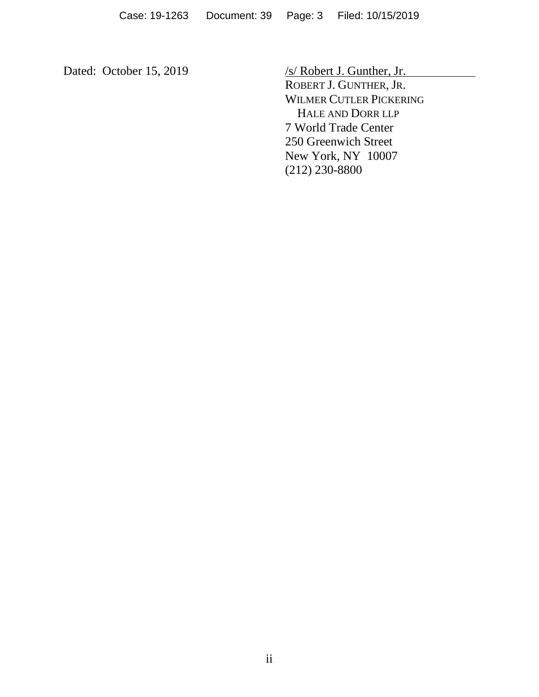Dated: October 15, 2019 /s/ Robert J. Gunther, Jr. ROBERT J. GUNTHER, JR. WILMER CUTLER PICKERING HALE AND DORR LLP 7 World Trade Center 250 Greenwich Street New York, NY 10007 (212) 230-8800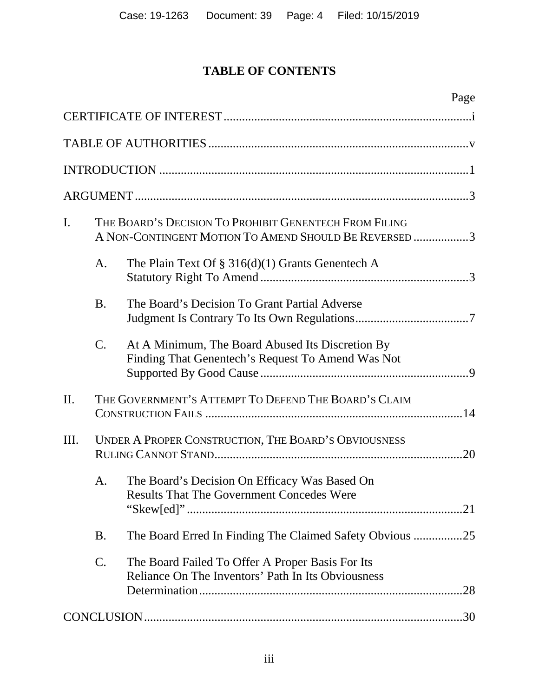## **TABLE OF CONTENTS**

|     |           | Page                                                                                                            |
|-----|-----------|-----------------------------------------------------------------------------------------------------------------|
|     |           |                                                                                                                 |
|     |           |                                                                                                                 |
|     |           |                                                                                                                 |
|     |           |                                                                                                                 |
| I.  |           | THE BOARD'S DECISION TO PROHIBIT GENENTECH FROM FILING<br>A NON-CONTINGENT MOTION TO AMEND SHOULD BE REVERSED 3 |
|     | A.        | The Plain Text Of § $316(d)(1)$ Grants Genentech A                                                              |
|     | <b>B.</b> | The Board's Decision To Grant Partial Adverse                                                                   |
|     | C.        | At A Minimum, The Board Abused Its Discretion By<br>Finding That Genentech's Request To Amend Was Not           |
| II. |           | THE GOVERNMENT'S ATTEMPT TO DEFEND THE BOARD'S CLAIM                                                            |
| Ш.  |           | UNDER A PROPER CONSTRUCTION, THE BOARD'S OBVIOUSNESS                                                            |
|     | A.        | The Board's Decision On Efficacy Was Based On<br><b>Results That The Government Concedes Were</b>               |
|     | <b>B.</b> | The Board Erred In Finding The Claimed Safety Obvious 25                                                        |
|     | C.        | The Board Failed To Offer A Proper Basis For Its<br>Reliance On The Inventors' Path In Its Obviousness<br>.28   |
|     |           |                                                                                                                 |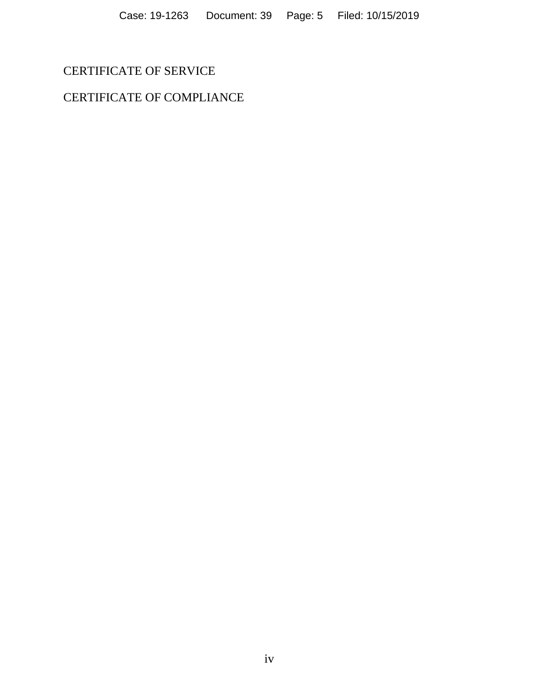## CERTIFICATE OF SERVICE

## CERTIFICATE OF COMPLIANCE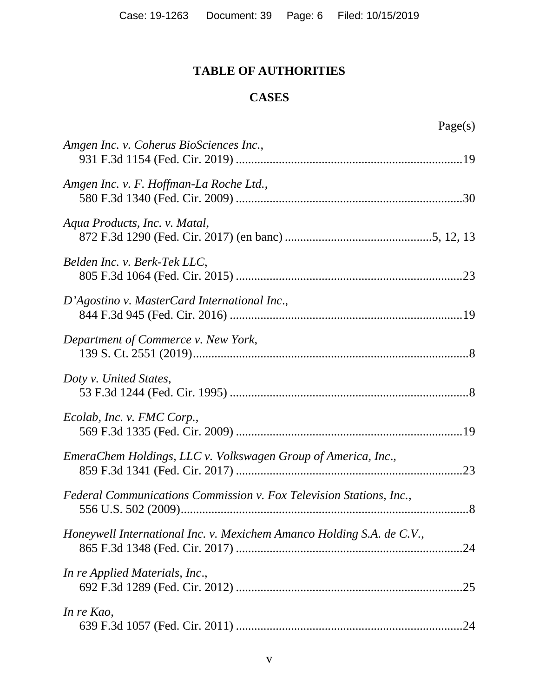## **TABLE OF AUTHORITIES**

## **CASES**

<span id="page-5-0"></span>

| Amgen Inc. v. Coherus BioSciences Inc.,                               |
|-----------------------------------------------------------------------|
| Amgen Inc. v. F. Hoffman-La Roche Ltd.,                               |
| Aqua Products, Inc. v. Matal,                                         |
| Belden Inc. v. Berk-Tek LLC,                                          |
| D'Agostino v. MasterCard International Inc.,                          |
| Department of Commerce v. New York,                                   |
| Doty v. United States,                                                |
| Ecolab, Inc. v. FMC Corp.,                                            |
| EmeraChem Holdings, LLC v. Volkswagen Group of America, Inc.,         |
| Federal Communications Commission v. Fox Television Stations, Inc.,   |
| Honeywell International Inc. v. Mexichem Amanco Holding S.A. de C.V., |
| In re Applied Materials, Inc.,                                        |
| In re Kao,                                                            |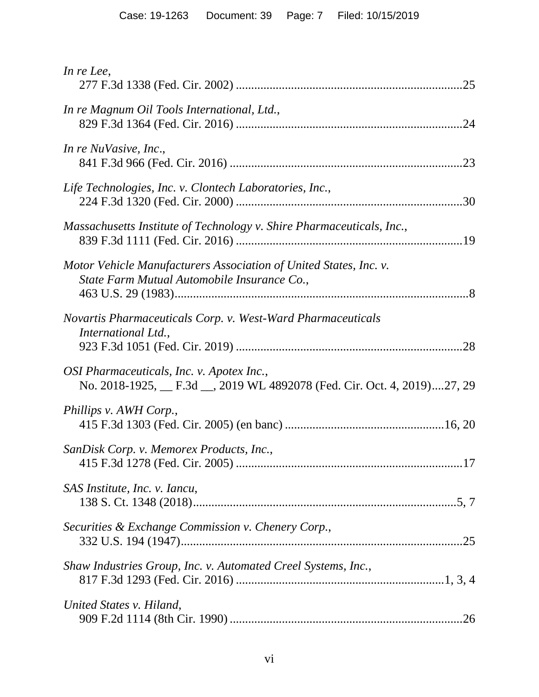| In re Lee,                                                                                                             |
|------------------------------------------------------------------------------------------------------------------------|
| In re Magnum Oil Tools International, Ltd.,                                                                            |
| In re NuVasive, Inc.,                                                                                                  |
| Life Technologies, Inc. v. Clontech Laboratories, Inc.,                                                                |
| Massachusetts Institute of Technology v. Shire Pharmaceuticals, Inc.,                                                  |
| Motor Vehicle Manufacturers Association of United States, Inc. v.<br>State Farm Mutual Automobile Insurance Co.,       |
| Novartis Pharmaceuticals Corp. v. West-Ward Pharmaceuticals<br>International Ltd.,                                     |
| OSI Pharmaceuticals, Inc. v. Apotex Inc.,<br>No. 2018-1925, __ F.3d __, 2019 WL 4892078 (Fed. Cir. Oct. 4, 2019)27, 29 |
| Phillips v. AWH Corp.,                                                                                                 |
| SanDisk Corp. v. Memorex Products, Inc.,                                                                               |
| SAS Institute, Inc. v. Iancu,                                                                                          |
| Securities & Exchange Commission v. Chenery Corp.,                                                                     |
| Shaw Industries Group, Inc. v. Automated Creel Systems, Inc.,                                                          |
| United States v. Hiland,                                                                                               |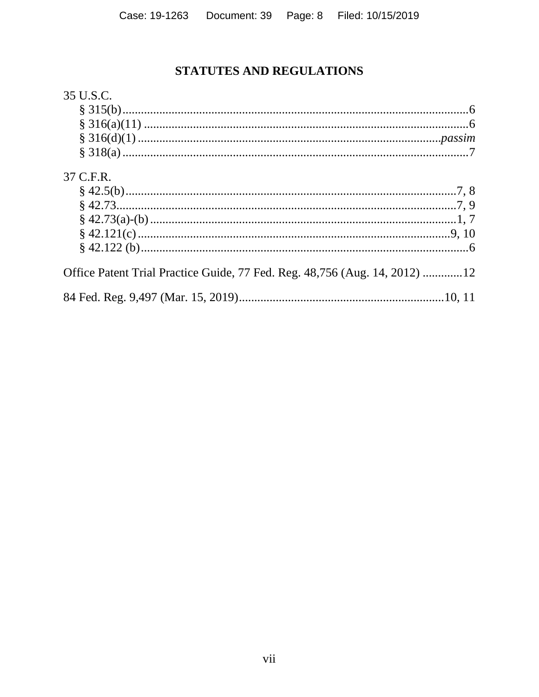## STATUTES AND REGULATIONS

## 35 U.S.C.

| 37 C.F.R.                                                                  |  |
|----------------------------------------------------------------------------|--|
|                                                                            |  |
|                                                                            |  |
|                                                                            |  |
|                                                                            |  |
|                                                                            |  |
| Office Patent Trial Practice Guide, 77 Fed. Reg. 48,756 (Aug. 14, 2012) 12 |  |
|                                                                            |  |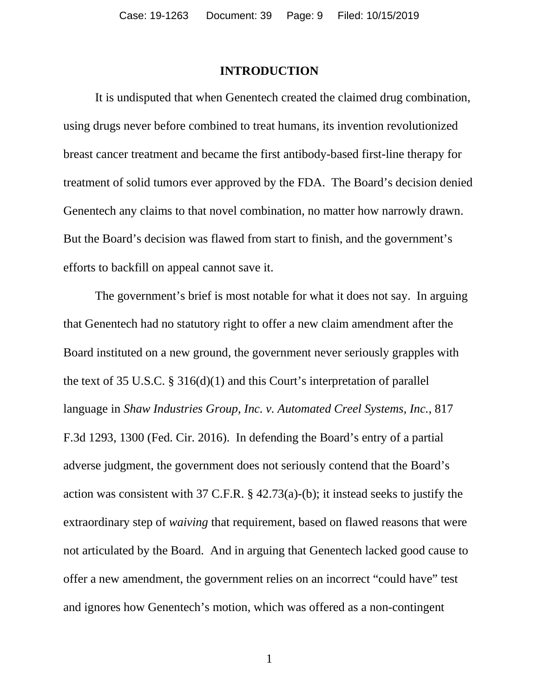#### **INTRODUCTION**

<span id="page-8-0"></span>It is undisputed that when Genentech created the claimed drug combination, using drugs never before combined to treat humans, its invention revolutionized breast cancer treatment and became the first antibody-based first-line therapy for treatment of solid tumors ever approved by the FDA. The Board's decision denied Genentech any claims to that novel combination, no matter how narrowly drawn. But the Board's decision was flawed from start to finish, and the government's efforts to backfill on appeal cannot save it.

The government's brief is most notable for what it does not say. In arguing that Genentech had no statutory right to offer a new claim amendment after the Board instituted on a new ground, the government never seriously grapples with the text of 35 U.S.C. § 316(d)(1) and this Court's interpretation of parallel language in *Shaw Industries Group, Inc. v. Automated Creel Systems, Inc.*, 817 F.3d 1293, 1300 (Fed. Cir. 2016). In defending the Board's entry of a partial adverse judgment, the government does not seriously contend that the Board's action was consistent with 37 C.F.R. § 42.73(a)-(b); it instead seeks to justify the extraordinary step of *waiving* that requirement, based on flawed reasons that were not articulated by the Board. And in arguing that Genentech lacked good cause to offer a new amendment, the government relies on an incorrect "could have" test and ignores how Genentech's motion, which was offered as a non-contingent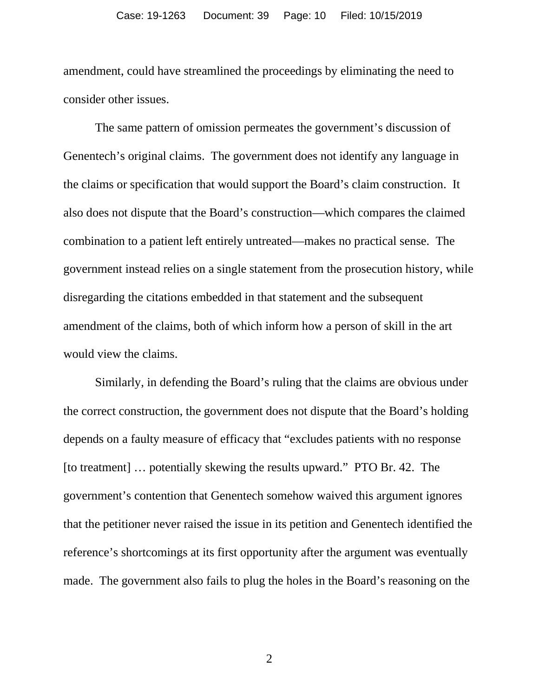amendment, could have streamlined the proceedings by eliminating the need to consider other issues.

The same pattern of omission permeates the government's discussion of Genentech's original claims. The government does not identify any language in the claims or specification that would support the Board's claim construction. It also does not dispute that the Board's construction—which compares the claimed combination to a patient left entirely untreated—makes no practical sense. The government instead relies on a single statement from the prosecution history, while disregarding the citations embedded in that statement and the subsequent amendment of the claims, both of which inform how a person of skill in the art would view the claims.

Similarly, in defending the Board's ruling that the claims are obvious under the correct construction, the government does not dispute that the Board's holding depends on a faulty measure of efficacy that "excludes patients with no response [to treatment] … potentially skewing the results upward." PTO Br. 42. The government's contention that Genentech somehow waived this argument ignores that the petitioner never raised the issue in its petition and Genentech identified the reference's shortcomings at its first opportunity after the argument was eventually made. The government also fails to plug the holes in the Board's reasoning on the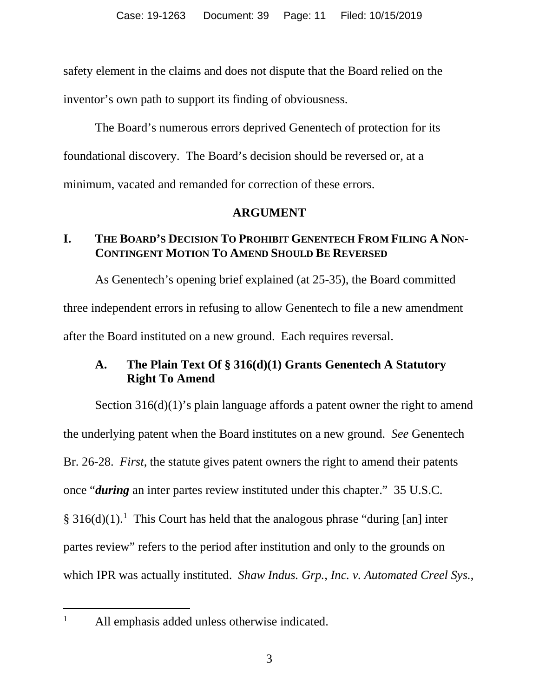safety element in the claims and does not dispute that the Board relied on the inventor's own path to support its finding of obviousness.

The Board's numerous errors deprived Genentech of protection for its foundational discovery. The Board's decision should be reversed or, at a minimum, vacated and remanded for correction of these errors.

## **ARGUMENT**

## <span id="page-10-1"></span><span id="page-10-0"></span>**I. THE BOARD'S DECISION TO PROHIBIT GENENTECH FROM FILING A NON-CONTINGENT MOTION TO AMEND SHOULD BE REVERSED**

As Genentech's opening brief explained (at 25-35), the Board committed three independent errors in refusing to allow Genentech to file a new amendment after the Board instituted on a new ground. Each requires reversal.

## <span id="page-10-2"></span>**A. The Plain Text Of § 316(d)(1) Grants Genentech A Statutory Right To Amend**

Section 316(d)(1)'s plain language affords a patent owner the right to amend the underlying patent when the Board institutes on a new ground. *See* Genentech Br. 26-28. *First*, the statute gives patent owners the right to amend their patents once "*during* an inter partes review instituted under this chapter." 35 U.S.C.  $§ 316(d)(1).<sup>1</sup>$  $§ 316(d)(1).<sup>1</sup>$  $§ 316(d)(1).<sup>1</sup>$  This Court has held that the analogous phrase "during [an] inter partes review" refers to the period after institution and only to the grounds on which IPR was actually instituted. *Shaw Indus. Grp., Inc. v. Automated Creel Sys.*,

<span id="page-10-3"></span>

<sup>&</sup>lt;sup>1</sup> All emphasis added unless otherwise indicated.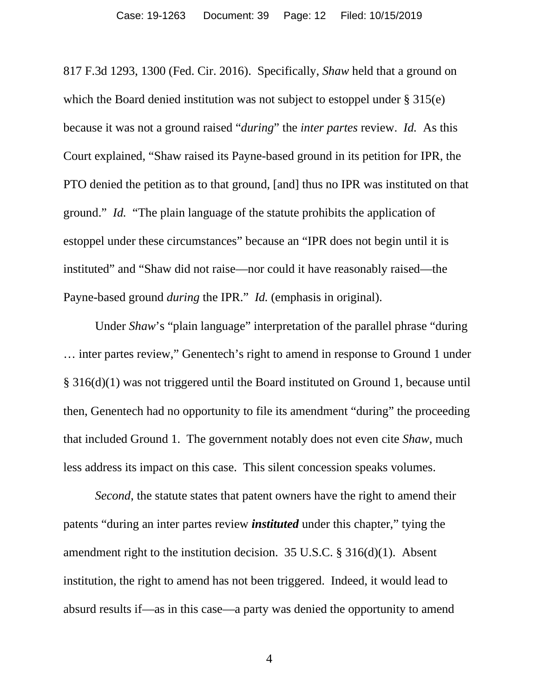817 F.3d 1293, 1300 (Fed. Cir. 2016). Specifically, *Shaw* held that a ground on which the Board denied institution was not subject to estoppel under § 315(e) because it was not a ground raised "*during*" the *inter partes* review. *Id.* As this Court explained, "Shaw raised its Payne-based ground in its petition for IPR, the PTO denied the petition as to that ground, [and] thus no IPR was instituted on that ground." *Id.* "The plain language of the statute prohibits the application of estoppel under these circumstances" because an "IPR does not begin until it is instituted" and "Shaw did not raise—nor could it have reasonably raised—the Payne-based ground *during* the IPR." *Id.* (emphasis in original).

Under *Shaw*'s "plain language" interpretation of the parallel phrase "during … inter partes review," Genentech's right to amend in response to Ground 1 under § 316(d)(1) was not triggered until the Board instituted on Ground 1, because until then, Genentech had no opportunity to file its amendment "during" the proceeding that included Ground 1. The government notably does not even cite *Shaw*, much less address its impact on this case. This silent concession speaks volumes.

*Second*, the statute states that patent owners have the right to amend their patents "during an inter partes review *instituted* under this chapter," tying the amendment right to the institution decision. 35 U.S.C. § 316(d)(1). Absent institution, the right to amend has not been triggered. Indeed, it would lead to absurd results if—as in this case—a party was denied the opportunity to amend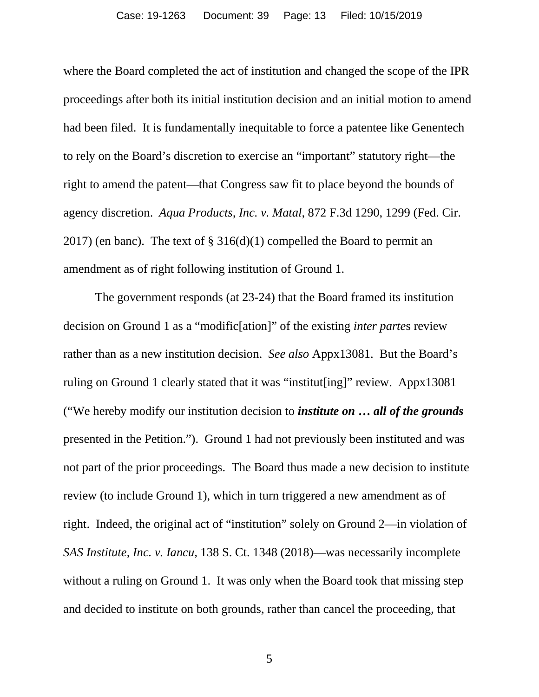where the Board completed the act of institution and changed the scope of the IPR proceedings after both its initial institution decision and an initial motion to amend had been filed. It is fundamentally inequitable to force a patentee like Genentech to rely on the Board's discretion to exercise an "important" statutory right—the right to amend the patent—that Congress saw fit to place beyond the bounds of agency discretion. *Aqua Products, Inc. v. Matal*, 872 F.3d 1290, 1299 (Fed. Cir. 2017) (en banc). The text of  $\S 316(d)(1)$  compelled the Board to permit an amendment as of right following institution of Ground 1.

The government responds (at 23-24) that the Board framed its institution decision on Ground 1 as a "modific[ation]" of the existing *inter parte*s review rather than as a new institution decision. *See also* Appx13081. But the Board's ruling on Ground 1 clearly stated that it was "institut[ing]" review. Appx13081 ("We hereby modify our institution decision to *institute on* **…** *all of the grounds* presented in the Petition."). Ground 1 had not previously been instituted and was not part of the prior proceedings. The Board thus made a new decision to institute review (to include Ground 1), which in turn triggered a new amendment as of right. Indeed, the original act of "institution" solely on Ground 2—in violation of *SAS Institute, Inc. v. Iancu*, 138 S. Ct. 1348 (2018)—was necessarily incomplete without a ruling on Ground 1. It was only when the Board took that missing step and decided to institute on both grounds, rather than cancel the proceeding, that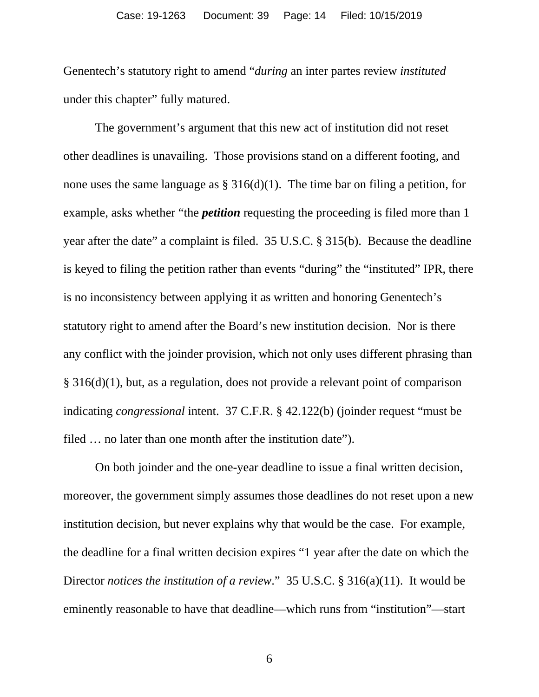Genentech's statutory right to amend "*during* an inter partes review *instituted* under this chapter" fully matured.

The government's argument that this new act of institution did not reset other deadlines is unavailing. Those provisions stand on a different footing, and none uses the same language as  $\S 316(d)(1)$ . The time bar on filing a petition, for example, asks whether "the *petition* requesting the proceeding is filed more than 1 year after the date" a complaint is filed. 35 U.S.C. § 315(b). Because the deadline is keyed to filing the petition rather than events "during" the "instituted" IPR, there is no inconsistency between applying it as written and honoring Genentech's statutory right to amend after the Board's new institution decision. Nor is there any conflict with the joinder provision, which not only uses different phrasing than § 316(d)(1), but, as a regulation, does not provide a relevant point of comparison indicating *congressional* intent. 37 C.F.R. § 42.122(b) (joinder request "must be filed ... no later than one month after the institution date").

On both joinder and the one-year deadline to issue a final written decision, moreover, the government simply assumes those deadlines do not reset upon a new institution decision, but never explains why that would be the case. For example, the deadline for a final written decision expires "1 year after the date on which the Director *notices the institution of a review*." 35 U.S.C. § 316(a)(11). It would be eminently reasonable to have that deadline—which runs from "institution"—start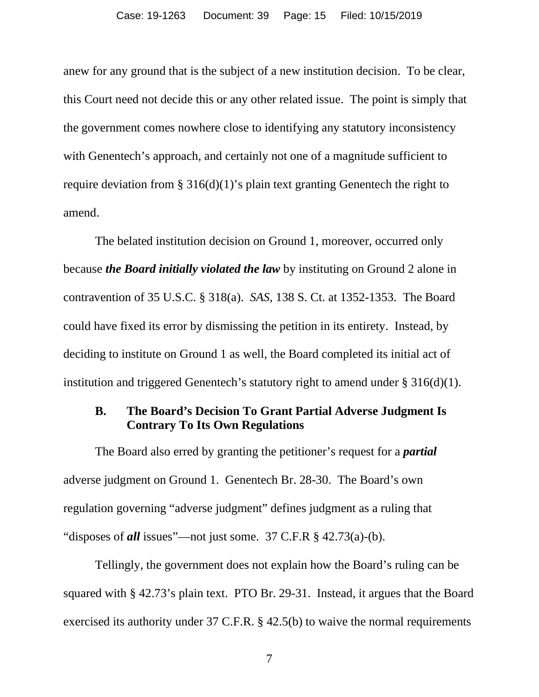anew for any ground that is the subject of a new institution decision. To be clear, this Court need not decide this or any other related issue. The point is simply that the government comes nowhere close to identifying any statutory inconsistency with Genentech's approach, and certainly not one of a magnitude sufficient to require deviation from § 316(d)(1)'s plain text granting Genentech the right to amend.

The belated institution decision on Ground 1, moreover, occurred only because *the Board initially violated the law* by instituting on Ground 2 alone in contravention of 35 U.S.C. § 318(a). *SAS*, 138 S. Ct. at 1352-1353. The Board could have fixed its error by dismissing the petition in its entirety. Instead, by deciding to institute on Ground 1 as well, the Board completed its initial act of institution and triggered Genentech's statutory right to amend under § 316(d)(1).

## <span id="page-14-0"></span>**B. The Board's Decision To Grant Partial Adverse Judgment Is Contrary To Its Own Regulations**

The Board also erred by granting the petitioner's request for a *partial* adverse judgment on Ground 1. Genentech Br. 28-30. The Board's own regulation governing "adverse judgment" defines judgment as a ruling that "disposes of *all* issues"—not just some. 37 C.F.R § 42.73(a)-(b).

Tellingly, the government does not explain how the Board's ruling can be squared with § 42.73's plain text. PTO Br. 29-31. Instead, it argues that the Board exercised its authority under 37 C.F.R. § 42.5(b) to waive the normal requirements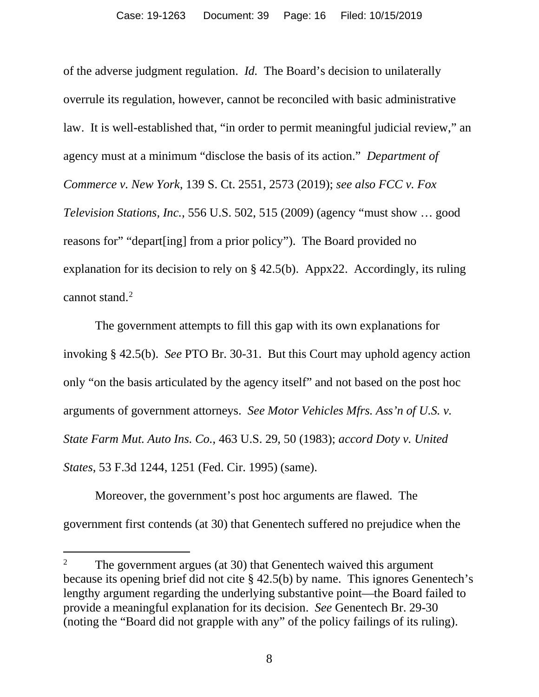of the adverse judgment regulation. *Id.* The Board's decision to unilaterally overrule its regulation, however, cannot be reconciled with basic administrative law. It is well-established that, "in order to permit meaningful judicial review," an agency must at a minimum "disclose the basis of its action." *Department of Commerce v. New York*, 139 S. Ct. 2551, 2573 (2019); *see also FCC v. Fox Television Stations, Inc.*, 556 U.S. 502, 515 (2009) (agency "must show … good reasons for" "depart[ing] from a prior policy"). The Board provided no explanation for its decision to rely on § 42.5(b). Appx22. Accordingly, its ruling cannot stand. $<sup>2</sup>$  $<sup>2</sup>$  $<sup>2</sup>$ </sup>

The government attempts to fill this gap with its own explanations for invoking § 42.5(b). *See* PTO Br. 30-31. But this Court may uphold agency action only "on the basis articulated by the agency itself" and not based on the post hoc arguments of government attorneys. *See Motor Vehicles Mfrs. Ass'n of U.S. v. State Farm Mut. Auto Ins. Co.*, 463 U.S. 29, 50 (1983); *accord Doty v. United States*, 53 F.3d 1244, 1251 (Fed. Cir. 1995) (same).

Moreover, the government's post hoc arguments are flawed. The government first contends (at 30) that Genentech suffered no prejudice when the

<span id="page-15-0"></span><sup>&</sup>lt;sup>2</sup> The government argues (at 30) that Genentech waived this argument because its opening brief did not cite § 42.5(b) by name. This ignores Genentech's lengthy argument regarding the underlying substantive point—the Board failed to provide a meaningful explanation for its decision. *See* Genentech Br. 29-30 (noting the "Board did not grapple with any" of the policy failings of its ruling).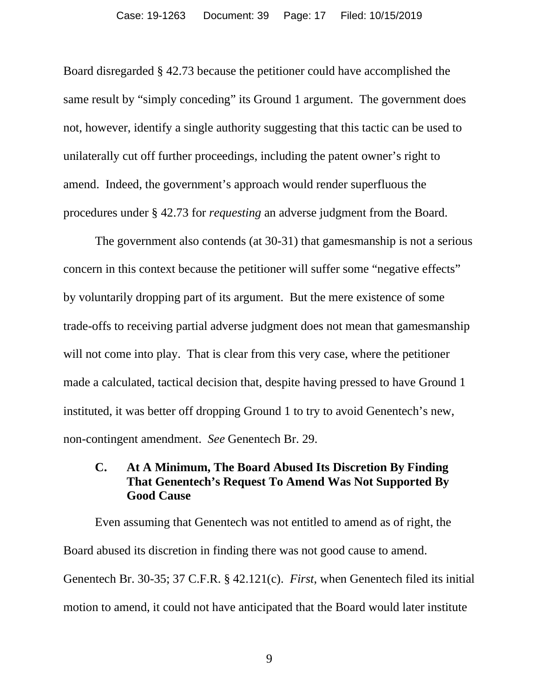Board disregarded § 42.73 because the petitioner could have accomplished the same result by "simply conceding" its Ground 1 argument. The government does not, however, identify a single authority suggesting that this tactic can be used to unilaterally cut off further proceedings, including the patent owner's right to amend. Indeed, the government's approach would render superfluous the procedures under § 42.73 for *requesting* an adverse judgment from the Board.

The government also contends (at 30-31) that gamesmanship is not a serious concern in this context because the petitioner will suffer some "negative effects" by voluntarily dropping part of its argument. But the mere existence of some trade-offs to receiving partial adverse judgment does not mean that gamesmanship will not come into play. That is clear from this very case, where the petitioner made a calculated, tactical decision that, despite having pressed to have Ground 1 instituted, it was better off dropping Ground 1 to try to avoid Genentech's new, non-contingent amendment. *See* Genentech Br. 29.

## <span id="page-16-0"></span>**C. At A Minimum, The Board Abused Its Discretion By Finding That Genentech's Request To Amend Was Not Supported By Good Cause**

Even assuming that Genentech was not entitled to amend as of right, the Board abused its discretion in finding there was not good cause to amend. Genentech Br. 30-35; 37 C.F.R. § 42.121(c). *First*, when Genentech filed its initial motion to amend, it could not have anticipated that the Board would later institute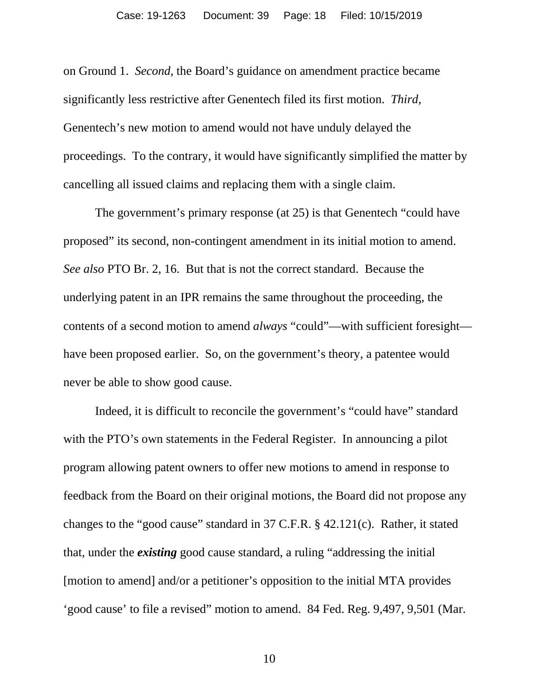on Ground 1. *Second*, the Board's guidance on amendment practice became significantly less restrictive after Genentech filed its first motion. *Third*, Genentech's new motion to amend would not have unduly delayed the proceedings. To the contrary, it would have significantly simplified the matter by cancelling all issued claims and replacing them with a single claim.

The government's primary response (at 25) is that Genentech "could have proposed" its second, non-contingent amendment in its initial motion to amend. *See also* PTO Br. 2, 16. But that is not the correct standard. Because the underlying patent in an IPR remains the same throughout the proceeding, the contents of a second motion to amend *always* "could"—with sufficient foresight have been proposed earlier. So, on the government's theory, a patentee would never be able to show good cause.

Indeed, it is difficult to reconcile the government's "could have" standard with the PTO's own statements in the Federal Register. In announcing a pilot program allowing patent owners to offer new motions to amend in response to feedback from the Board on their original motions, the Board did not propose any changes to the "good cause" standard in 37 C.F.R. § 42.121(c). Rather, it stated that, under the *existing* good cause standard, a ruling "addressing the initial [motion to amend] and/or a petitioner's opposition to the initial MTA provides 'good cause' to file a revised" motion to amend. 84 Fed. Reg. 9,497, 9,501 (Mar.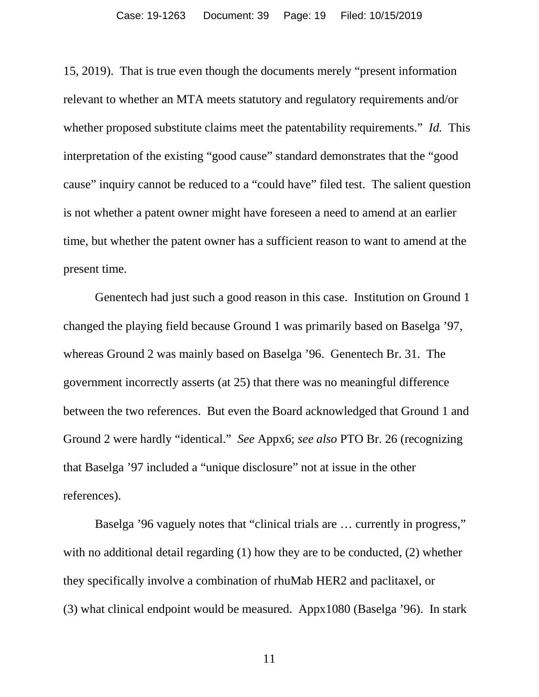15, 2019). That is true even though the documents merely "present information relevant to whether an MTA meets statutory and regulatory requirements and/or whether proposed substitute claims meet the patentability requirements." *Id.* This interpretation of the existing "good cause" standard demonstrates that the "good cause" inquiry cannot be reduced to a "could have" filed test. The salient question is not whether a patent owner might have foreseen a need to amend at an earlier time, but whether the patent owner has a sufficient reason to want to amend at the present time.

Genentech had just such a good reason in this case. Institution on Ground 1 changed the playing field because Ground 1 was primarily based on Baselga '97, whereas Ground 2 was mainly based on Baselga '96. Genentech Br. 31. The government incorrectly asserts (at 25) that there was no meaningful difference between the two references. But even the Board acknowledged that Ground 1 and Ground 2 were hardly "identical." *See* Appx6; *see also* PTO Br. 26 (recognizing that Baselga '97 included a "unique disclosure" not at issue in the other references).

Baselga '96 vaguely notes that "clinical trials are … currently in progress," with no additional detail regarding (1) how they are to be conducted, (2) whether they specifically involve a combination of rhuMab HER2 and paclitaxel, or (3) what clinical endpoint would be measured. Appx1080 (Baselga '96). In stark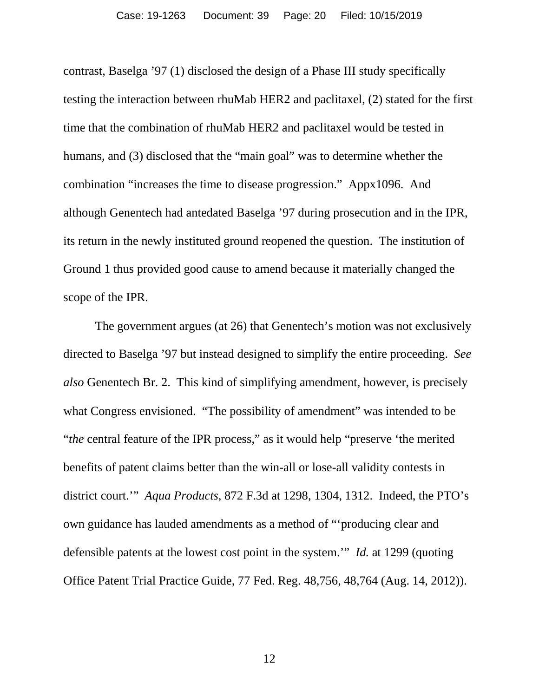contrast, Baselga '97 (1) disclosed the design of a Phase III study specifically testing the interaction between rhuMab HER2 and paclitaxel, (2) stated for the first time that the combination of rhuMab HER2 and paclitaxel would be tested in humans, and (3) disclosed that the "main goal" was to determine whether the combination "increases the time to disease progression." Appx1096. And although Genentech had antedated Baselga '97 during prosecution and in the IPR, its return in the newly instituted ground reopened the question. The institution of Ground 1 thus provided good cause to amend because it materially changed the scope of the IPR.

The government argues (at 26) that Genentech's motion was not exclusively directed to Baselga '97 but instead designed to simplify the entire proceeding. *See also* Genentech Br. 2. This kind of simplifying amendment, however, is precisely what Congress envisioned. "The possibility of amendment" was intended to be "*the* central feature of the IPR process," as it would help "preserve 'the merited benefits of patent claims better than the win-all or lose-all validity contests in district court.'" *Aqua Products*, 872 F.3d at 1298, 1304, 1312. Indeed, the PTO's own guidance has lauded amendments as a method of "'producing clear and defensible patents at the lowest cost point in the system.'" *Id.* at 1299 (quoting Office Patent Trial Practice Guide, 77 Fed. Reg. 48,756, 48,764 (Aug. 14, 2012)).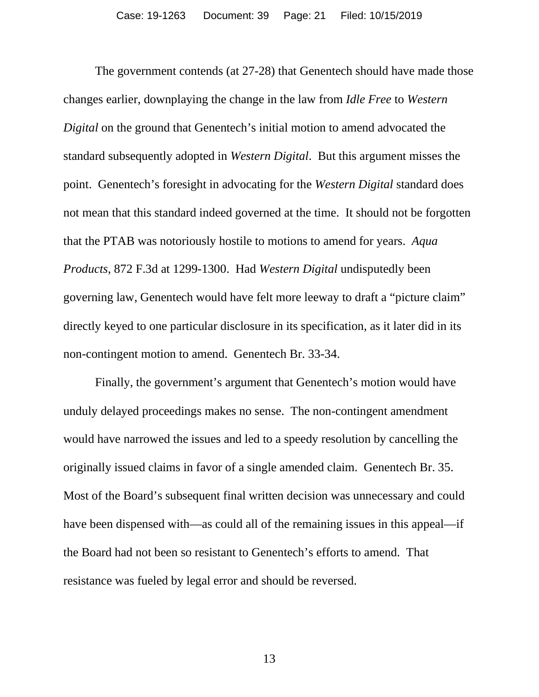The government contends (at 27-28) that Genentech should have made those changes earlier, downplaying the change in the law from *Idle Free* to *Western Digital* on the ground that Genentech's initial motion to amend advocated the standard subsequently adopted in *Western Digital*. But this argument misses the point. Genentech's foresight in advocating for the *Western Digital* standard does not mean that this standard indeed governed at the time. It should not be forgotten that the PTAB was notoriously hostile to motions to amend for years. *Aqua Products*, 872 F.3d at 1299-1300. Had *Western Digital* undisputedly been governing law, Genentech would have felt more leeway to draft a "picture claim" directly keyed to one particular disclosure in its specification, as it later did in its non-contingent motion to amend. Genentech Br. 33-34.

Finally, the government's argument that Genentech's motion would have unduly delayed proceedings makes no sense. The non-contingent amendment would have narrowed the issues and led to a speedy resolution by cancelling the originally issued claims in favor of a single amended claim. Genentech Br. 35. Most of the Board's subsequent final written decision was unnecessary and could have been dispensed with—as could all of the remaining issues in this appeal—if the Board had not been so resistant to Genentech's efforts to amend. That resistance was fueled by legal error and should be reversed.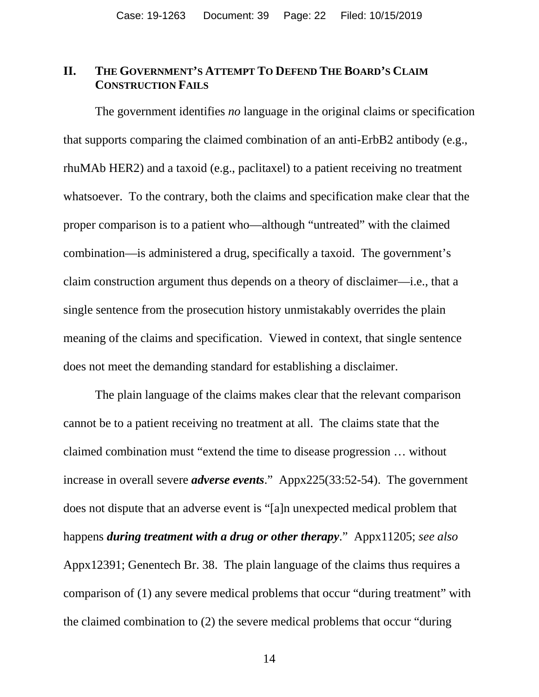### <span id="page-21-0"></span>**II. THE GOVERNMENT'S ATTEMPT TO DEFEND THE BOARD'S CLAIM CONSTRUCTION FAILS**

The government identifies *no* language in the original claims or specification that supports comparing the claimed combination of an anti-ErbB2 antibody (e.g., rhuMAb HER2) and a taxoid (e.g., paclitaxel) to a patient receiving no treatment whatsoever. To the contrary, both the claims and specification make clear that the proper comparison is to a patient who—although "untreated" with the claimed combination—is administered a drug, specifically a taxoid. The government's claim construction argument thus depends on a theory of disclaimer—i.e., that a single sentence from the prosecution history unmistakably overrides the plain meaning of the claims and specification. Viewed in context, that single sentence does not meet the demanding standard for establishing a disclaimer.

The plain language of the claims makes clear that the relevant comparison cannot be to a patient receiving no treatment at all. The claims state that the claimed combination must "extend the time to disease progression … without increase in overall severe *adverse events*." Appx225(33:52-54). The government does not dispute that an adverse event is "[a]n unexpected medical problem that happens *during treatment with a drug or other therapy*." Appx11205; *see also* Appx12391; Genentech Br. 38. The plain language of the claims thus requires a comparison of (1) any severe medical problems that occur "during treatment" with the claimed combination to (2) the severe medical problems that occur "during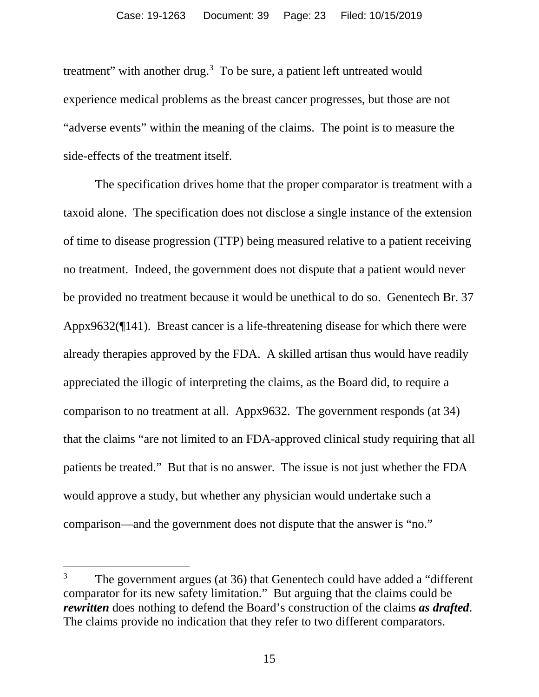treatment" with another drug. $3$  To be sure, a patient left untreated would experience medical problems as the breast cancer progresses, but those are not "adverse events" within the meaning of the claims. The point is to measure the side-effects of the treatment itself.

The specification drives home that the proper comparator is treatment with a taxoid alone. The specification does not disclose a single instance of the extension of time to disease progression (TTP) being measured relative to a patient receiving no treatment. Indeed, the government does not dispute that a patient would never be provided no treatment because it would be unethical to do so. Genentech Br. 37 Appx9632(¶141). Breast cancer is a life-threatening disease for which there were already therapies approved by the FDA. A skilled artisan thus would have readily appreciated the illogic of interpreting the claims, as the Board did, to require a comparison to no treatment at all. Appx9632. The government responds (at 34) that the claims "are not limited to an FDA-approved clinical study requiring that all patients be treated." But that is no answer. The issue is not just whether the FDA would approve a study, but whether any physician would undertake such a comparison—and the government does not dispute that the answer is "no."

<span id="page-22-0"></span><sup>&</sup>lt;sup>3</sup> The government argues (at 36) that Genentech could have added a "different" comparator for its new safety limitation." But arguing that the claims could be *rewritten* does nothing to defend the Board's construction of the claims *as drafted*. The claims provide no indication that they refer to two different comparators.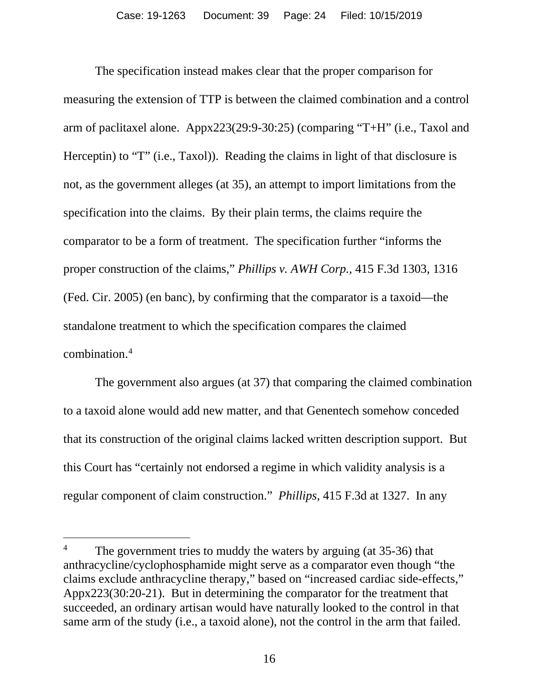The specification instead makes clear that the proper comparison for measuring the extension of TTP is between the claimed combination and a control arm of paclitaxel alone. Appx223(29:9-30:25) (comparing "T+H" (i.e., Taxol and Herceptin) to "T" (i.e., Taxol)). Reading the claims in light of that disclosure is not, as the government alleges (at 35), an attempt to import limitations from the specification into the claims. By their plain terms, the claims require the comparator to be a form of treatment. The specification further "informs the proper construction of the claims," *Phillips v. AWH Corp.*, 415 F.3d 1303, 1316 (Fed. Cir. 2005) (en banc), by confirming that the comparator is a taxoid—the standalone treatment to which the specification compares the claimed combination.[4](#page-23-0)

The government also argues (at 37) that comparing the claimed combination to a taxoid alone would add new matter, and that Genentech somehow conceded that its construction of the original claims lacked written description support. But this Court has "certainly not endorsed a regime in which validity analysis is a regular component of claim construction." *Phillips*, 415 F.3d at 1327. In any

<span id="page-23-0"></span><sup>&</sup>lt;sup>4</sup> The government tries to muddy the waters by arguing (at 35-36) that anthracycline/cyclophosphamide might serve as a comparator even though "the claims exclude anthracycline therapy," based on "increased cardiac side-effects," Appx223(30:20-21). But in determining the comparator for the treatment that succeeded, an ordinary artisan would have naturally looked to the control in that same arm of the study (i.e., a taxoid alone), not the control in the arm that failed.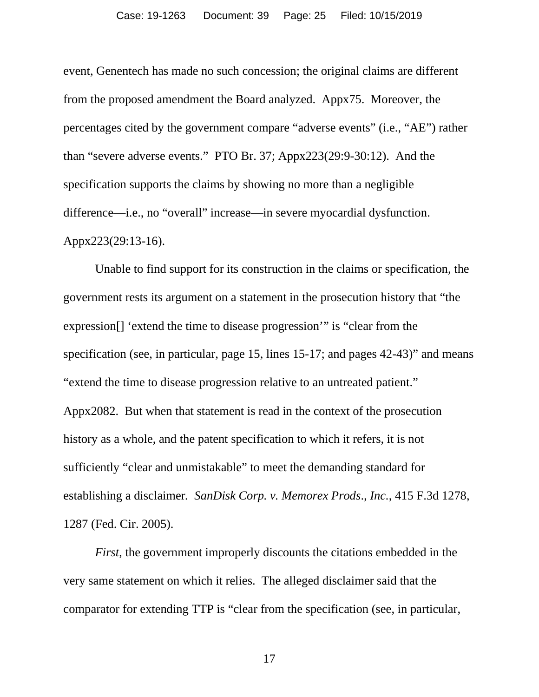event, Genentech has made no such concession; the original claims are different from the proposed amendment the Board analyzed. Appx75. Moreover, the percentages cited by the government compare "adverse events" (i.e., "AE") rather than "severe adverse events." PTO Br. 37; Appx223(29:9-30:12). And the specification supports the claims by showing no more than a negligible difference—i.e., no "overall" increase—in severe myocardial dysfunction. Appx223(29:13-16).

Unable to find support for its construction in the claims or specification, the government rests its argument on a statement in the prosecution history that "the expression[] 'extend the time to disease progression'" is "clear from the specification (see, in particular, page 15, lines 15-17; and pages 42-43)" and means "extend the time to disease progression relative to an untreated patient." Appx2082. But when that statement is read in the context of the prosecution history as a whole, and the patent specification to which it refers, it is not sufficiently "clear and unmistakable" to meet the demanding standard for establishing a disclaimer*. SanDisk Corp. v. Memorex Prods*.*, Inc.*, 415 F.3d 1278, 1287 (Fed. Cir. 2005).

*First*, the government improperly discounts the citations embedded in the very same statement on which it relies. The alleged disclaimer said that the comparator for extending TTP is "clear from the specification (see, in particular,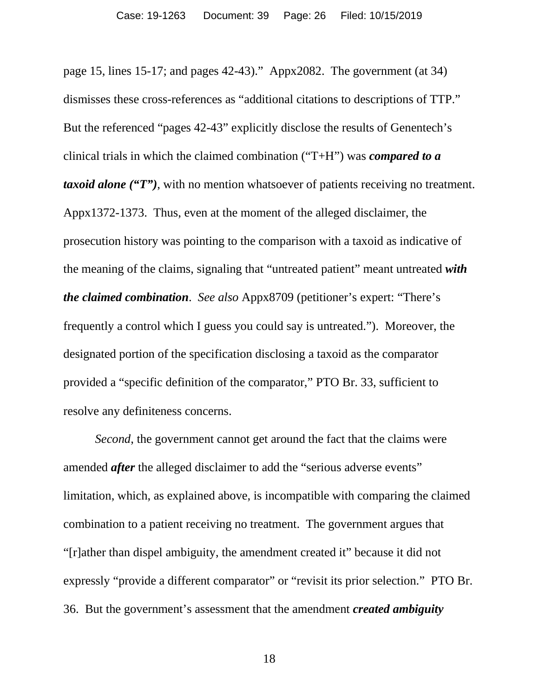page 15, lines 15-17; and pages 42-43)." Appx2082. The government (at 34) dismisses these cross-references as "additional citations to descriptions of TTP." But the referenced "pages 42-43" explicitly disclose the results of Genentech's clinical trials in which the claimed combination ("T+H") was *compared to a taxoid alone ("T")*, with no mention whatsoever of patients receiving no treatment. Appx1372-1373. Thus, even at the moment of the alleged disclaimer, the prosecution history was pointing to the comparison with a taxoid as indicative of the meaning of the claims, signaling that "untreated patient" meant untreated *with the claimed combination*. *See also* Appx8709 (petitioner's expert: "There's frequently a control which I guess you could say is untreated."). Moreover, the designated portion of the specification disclosing a taxoid as the comparator provided a "specific definition of the comparator," PTO Br. 33, sufficient to resolve any definiteness concerns.

*Second*, the government cannot get around the fact that the claims were amended *after* the alleged disclaimer to add the "serious adverse events" limitation, which, as explained above, is incompatible with comparing the claimed combination to a patient receiving no treatment. The government argues that "[r]ather than dispel ambiguity, the amendment created it" because it did not expressly "provide a different comparator" or "revisit its prior selection." PTO Br. 36. But the government's assessment that the amendment *created ambiguity*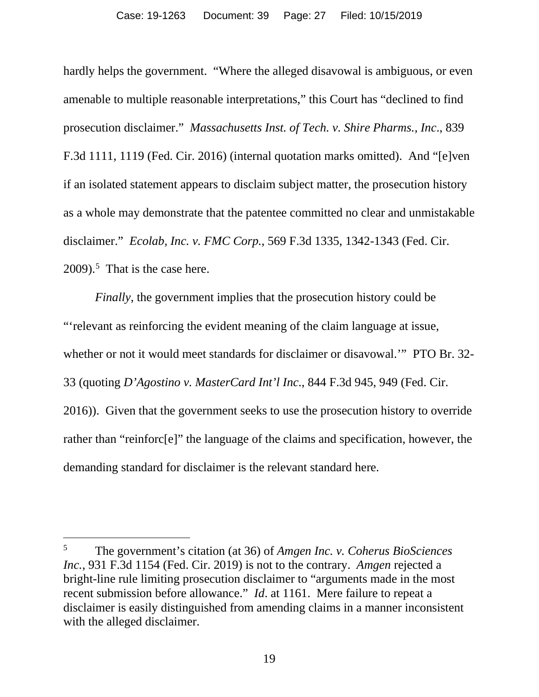hardly helps the government. "Where the alleged disavowal is ambiguous, or even amenable to multiple reasonable interpretations," this Court has "declined to find prosecution disclaimer." *Massachusetts Inst. of Tech. v. Shire Pharms., Inc*., 839 F.3d 1111, 1119 (Fed. Cir. 2016) (internal quotation marks omitted). And "[e]ven if an isolated statement appears to disclaim subject matter, the prosecution history as a whole may demonstrate that the patentee committed no clear and unmistakable disclaimer." *Ecolab, Inc. v. FMC Corp.*, 569 F.3d 1335, 1342-1343 (Fed. Cir.  $2009$ ).<sup>[5](#page-26-0)</sup> That is the case here.

*Finally*, the government implies that the prosecution history could be "'relevant as reinforcing the evident meaning of the claim language at issue, whether or not it would meet standards for disclaimer or disavowal.'" PTO Br. 32- 33 (quoting *D'Agostino v. MasterCard Int'l Inc*., 844 F.3d 945, 949 (Fed. Cir. 2016)). Given that the government seeks to use the prosecution history to override rather than "reinforc[e]" the language of the claims and specification, however, the demanding standard for disclaimer is the relevant standard here.

<span id="page-26-0"></span><sup>5</sup> The government's citation (at 36) of *Amgen Inc. v. Coherus BioSciences Inc.*, 931 F.3d 1154 (Fed. Cir. 2019) is not to the contrary. *Amgen* rejected a bright-line rule limiting prosecution disclaimer to "arguments made in the most recent submission before allowance." *Id*. at 1161. Mere failure to repeat a disclaimer is easily distinguished from amending claims in a manner inconsistent with the alleged disclaimer.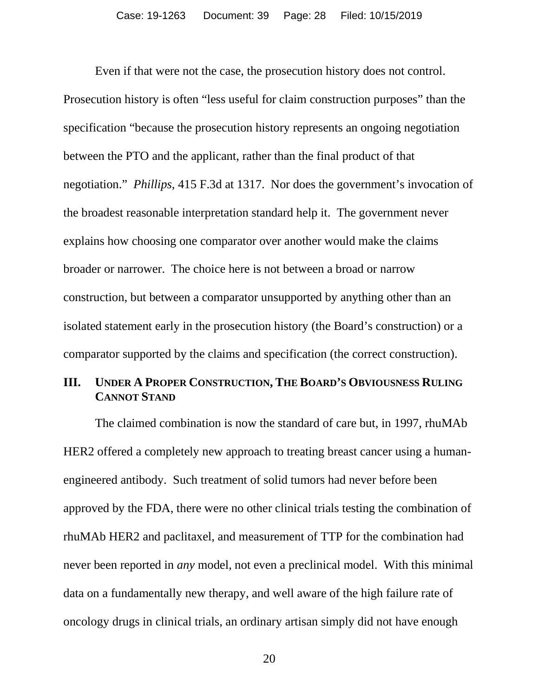Even if that were not the case, the prosecution history does not control. Prosecution history is often "less useful for claim construction purposes" than the specification "because the prosecution history represents an ongoing negotiation between the PTO and the applicant, rather than the final product of that negotiation." *Phillips*, 415 F.3d at 1317. Nor does the government's invocation of the broadest reasonable interpretation standard help it. The government never explains how choosing one comparator over another would make the claims broader or narrower. The choice here is not between a broad or narrow construction, but between a comparator unsupported by anything other than an isolated statement early in the prosecution history (the Board's construction) or a comparator supported by the claims and specification (the correct construction).

#### <span id="page-27-0"></span>**III. UNDER A PROPER CONSTRUCTION, THE BOARD'S OBVIOUSNESS RULING CANNOT STAND**

The claimed combination is now the standard of care but, in 1997, rhuMAb HER2 offered a completely new approach to treating breast cancer using a humanengineered antibody. Such treatment of solid tumors had never before been approved by the FDA, there were no other clinical trials testing the combination of rhuMAb HER2 and paclitaxel, and measurement of TTP for the combination had never been reported in *any* model, not even a preclinical model. With this minimal data on a fundamentally new therapy, and well aware of the high failure rate of oncology drugs in clinical trials, an ordinary artisan simply did not have enough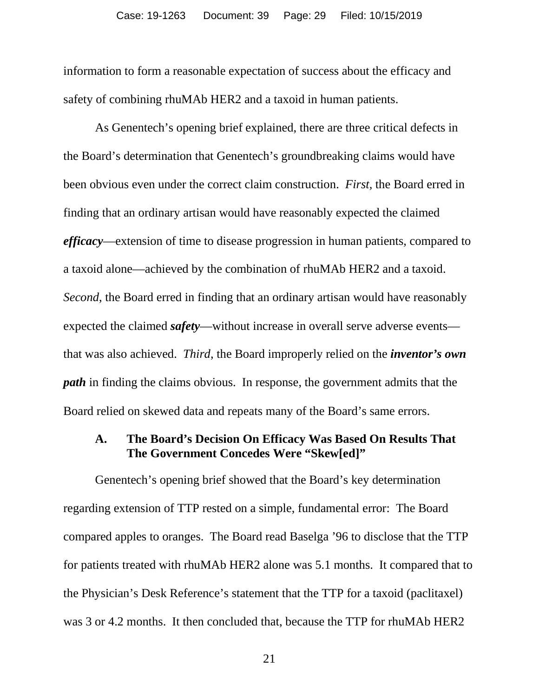information to form a reasonable expectation of success about the efficacy and safety of combining rhuMAb HER2 and a taxoid in human patients.

As Genentech's opening brief explained, there are three critical defects in the Board's determination that Genentech's groundbreaking claims would have been obvious even under the correct claim construction. *First,* the Board erred in finding that an ordinary artisan would have reasonably expected the claimed *efficacy*—extension of time to disease progression in human patients, compared to a taxoid alone—achieved by the combination of rhuMAb HER2 and a taxoid. *Second*, the Board erred in finding that an ordinary artisan would have reasonably expected the claimed *safety*—without increase in overall serve adverse events that was also achieved. *Third*, the Board improperly relied on the *inventor's own path* in finding the claims obvious. In response, the government admits that the Board relied on skewed data and repeats many of the Board's same errors.

#### <span id="page-28-0"></span>**A. The Board's Decision On Efficacy Was Based On Results That The Government Concedes Were "Skew[ed]"**

Genentech's opening brief showed that the Board's key determination regarding extension of TTP rested on a simple, fundamental error: The Board compared apples to oranges. The Board read Baselga '96 to disclose that the TTP for patients treated with rhuMAb HER2 alone was 5.1 months. It compared that to the Physician's Desk Reference's statement that the TTP for a taxoid (paclitaxel) was 3 or 4.2 months. It then concluded that, because the TTP for rhuMAb HER2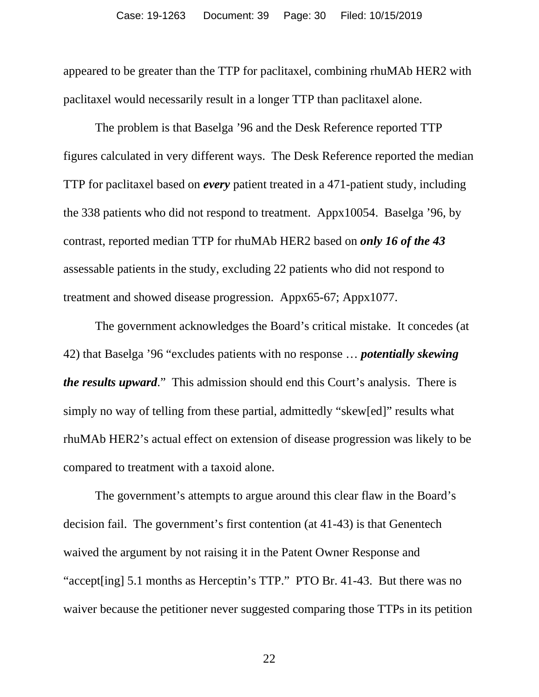appeared to be greater than the TTP for paclitaxel, combining rhuMAb HER2 with paclitaxel would necessarily result in a longer TTP than paclitaxel alone.

The problem is that Baselga '96 and the Desk Reference reported TTP figures calculated in very different ways. The Desk Reference reported the median TTP for paclitaxel based on *every* patient treated in a 471-patient study, including the 338 patients who did not respond to treatment. Appx10054. Baselga '96, by contrast, reported median TTP for rhuMAb HER2 based on *only 16 of the 43* assessable patients in the study, excluding 22 patients who did not respond to treatment and showed disease progression. Appx65-67; Appx1077.

The government acknowledges the Board's critical mistake. It concedes (at 42) that Baselga '96 "excludes patients with no response … *potentially skewing the results upward*." This admission should end this Court's analysis. There is simply no way of telling from these partial, admittedly "skew[ed]" results what rhuMAb HER2's actual effect on extension of disease progression was likely to be compared to treatment with a taxoid alone.

The government's attempts to argue around this clear flaw in the Board's decision fail. The government's first contention (at 41-43) is that Genentech waived the argument by not raising it in the Patent Owner Response and "accept[ing] 5.1 months as Herceptin's TTP." PTO Br. 41-43. But there was no waiver because the petitioner never suggested comparing those TTPs in its petition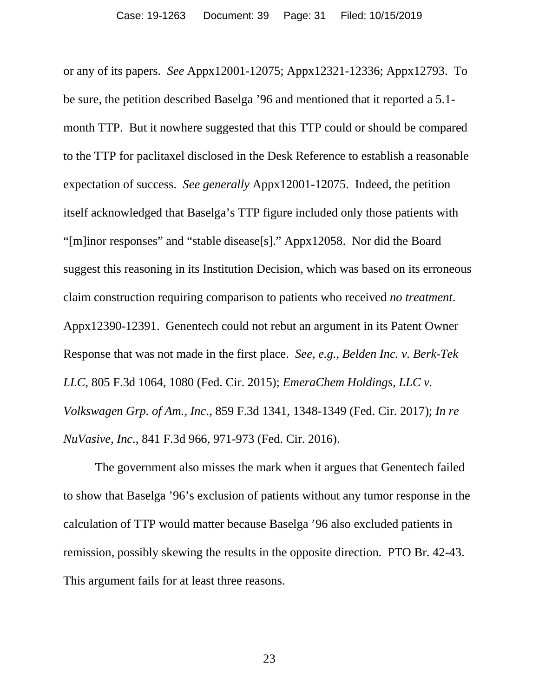or any of its papers. *See* Appx12001-12075; Appx12321-12336; Appx12793. To be sure, the petition described Baselga '96 and mentioned that it reported a 5.1 month TTP. But it nowhere suggested that this TTP could or should be compared to the TTP for paclitaxel disclosed in the Desk Reference to establish a reasonable expectation of success. *See generally* Appx12001-12075. Indeed, the petition itself acknowledged that Baselga's TTP figure included only those patients with "[m]inor responses" and "stable disease[s]." Appx12058. Nor did the Board suggest this reasoning in its Institution Decision, which was based on its erroneous claim construction requiring comparison to patients who received *no treatment*. Appx12390-12391. Genentech could not rebut an argument in its Patent Owner Response that was not made in the first place. *See, e.g.*, *Belden Inc. v. Berk-Tek LLC*, 805 F.3d 1064, 1080 (Fed. Cir. 2015); *EmeraChem Holdings, LLC v. Volkswagen Grp. of Am., Inc*., 859 F.3d 1341, 1348-1349 (Fed. Cir. 2017); *In re NuVasive, Inc*., 841 F.3d 966, 971-973 (Fed. Cir. 2016).

The government also misses the mark when it argues that Genentech failed to show that Baselga '96's exclusion of patients without any tumor response in the calculation of TTP would matter because Baselga '96 also excluded patients in remission, possibly skewing the results in the opposite direction. PTO Br. 42-43. This argument fails for at least three reasons.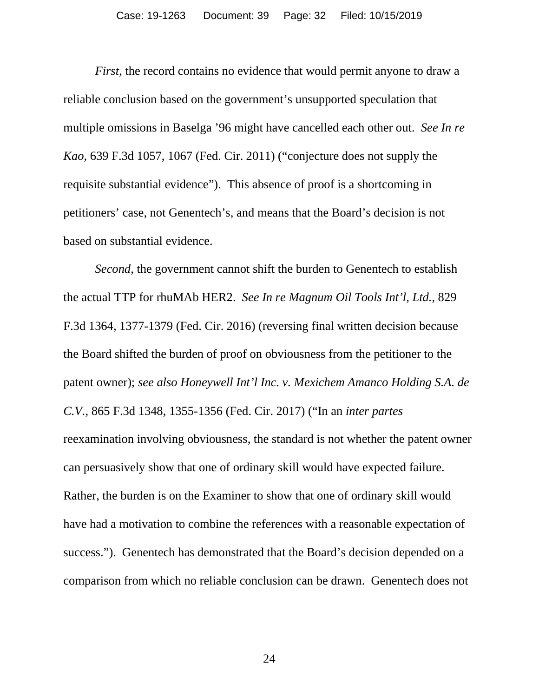*First*, the record contains no evidence that would permit anyone to draw a reliable conclusion based on the government's unsupported speculation that multiple omissions in Baselga '96 might have cancelled each other out. *See In re Kao*, 639 F.3d 1057, 1067 (Fed. Cir. 2011) ("conjecture does not supply the requisite substantial evidence"). This absence of proof is a shortcoming in petitioners' case, not Genentech's, and means that the Board's decision is not based on substantial evidence.

*Second*, the government cannot shift the burden to Genentech to establish the actual TTP for rhuMAb HER2. *See In re Magnum Oil Tools Int'l, Ltd.*, 829 F.3d 1364, 1377-1379 (Fed. Cir. 2016) (reversing final written decision because the Board shifted the burden of proof on obviousness from the petitioner to the patent owner); *see also Honeywell Int'l Inc. v. Mexichem Amanco Holding S.A. de C.V.*, 865 F.3d 1348, 1355-1356 (Fed. Cir. 2017) ("In an *inter partes* reexamination involving obviousness, the standard is not whether the patent owner can persuasively show that one of ordinary skill would have expected failure. Rather, the burden is on the Examiner to show that one of ordinary skill would have had a motivation to combine the references with a reasonable expectation of success."). Genentech has demonstrated that the Board's decision depended on a comparison from which no reliable conclusion can be drawn. Genentech does not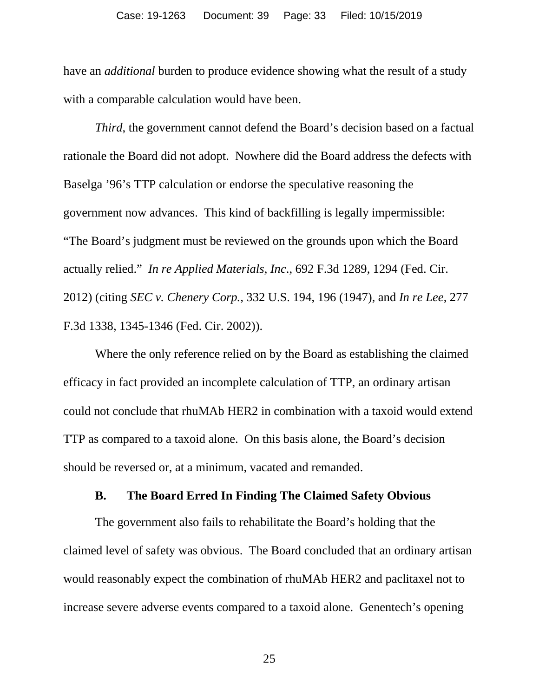have an *additional* burden to produce evidence showing what the result of a study with a comparable calculation would have been.

*Third*, the government cannot defend the Board's decision based on a factual rationale the Board did not adopt. Nowhere did the Board address the defects with Baselga '96's TTP calculation or endorse the speculative reasoning the government now advances. This kind of backfilling is legally impermissible: "The Board's judgment must be reviewed on the grounds upon which the Board actually relied." *In re Applied Materials, Inc*., 692 F.3d 1289, 1294 (Fed. Cir. 2012) (citing *SEC v. Chenery Corp.*, 332 U.S. 194, 196 (1947), and *In re Lee*, 277 F.3d 1338, 1345-1346 (Fed. Cir. 2002)).

Where the only reference relied on by the Board as establishing the claimed efficacy in fact provided an incomplete calculation of TTP, an ordinary artisan could not conclude that rhuMAb HER2 in combination with a taxoid would extend TTP as compared to a taxoid alone. On this basis alone, the Board's decision should be reversed or, at a minimum, vacated and remanded.

#### **B. The Board Erred In Finding The Claimed Safety Obvious**

<span id="page-32-0"></span>The government also fails to rehabilitate the Board's holding that the claimed level of safety was obvious. The Board concluded that an ordinary artisan would reasonably expect the combination of rhuMAb HER2 and paclitaxel not to increase severe adverse events compared to a taxoid alone. Genentech's opening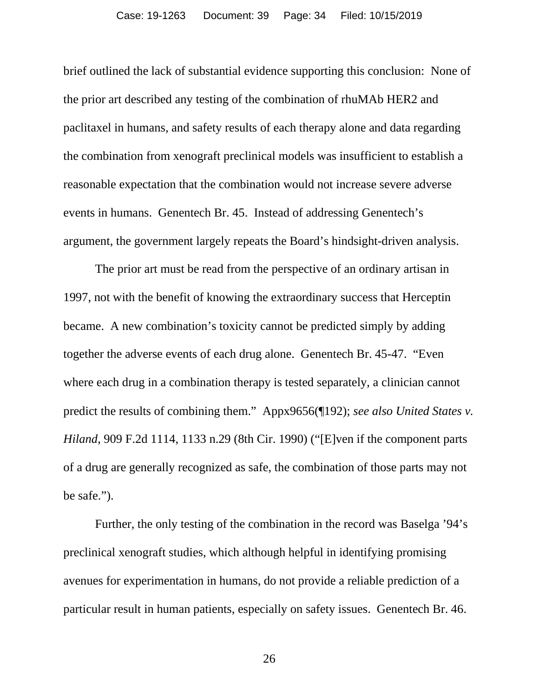brief outlined the lack of substantial evidence supporting this conclusion: None of the prior art described any testing of the combination of rhuMAb HER2 and paclitaxel in humans, and safety results of each therapy alone and data regarding the combination from xenograft preclinical models was insufficient to establish a reasonable expectation that the combination would not increase severe adverse events in humans. Genentech Br. 45. Instead of addressing Genentech's argument, the government largely repeats the Board's hindsight-driven analysis.

The prior art must be read from the perspective of an ordinary artisan in 1997, not with the benefit of knowing the extraordinary success that Herceptin became. A new combination's toxicity cannot be predicted simply by adding together the adverse events of each drug alone. Genentech Br. 45-47. "Even where each drug in a combination therapy is tested separately, a clinician cannot predict the results of combining them." Appx9656(¶192); *see also United States v. Hiland*, 909 F.2d 1114, 1133 n.29 (8th Cir. 1990) ("[E]ven if the component parts of a drug are generally recognized as safe, the combination of those parts may not be safe.").

Further, the only testing of the combination in the record was Baselga '94's preclinical xenograft studies, which although helpful in identifying promising avenues for experimentation in humans, do not provide a reliable prediction of a particular result in human patients, especially on safety issues. Genentech Br. 46.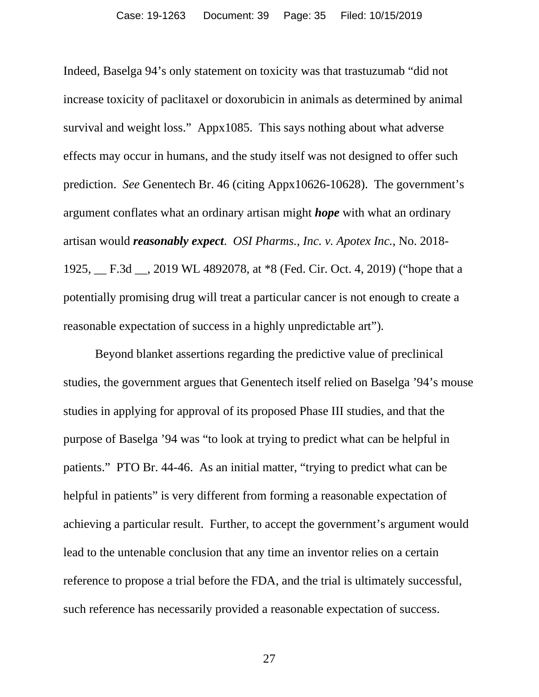Indeed, Baselga 94's only statement on toxicity was that trastuzumab "did not increase toxicity of paclitaxel or doxorubicin in animals as determined by animal survival and weight loss." Appx1085. This says nothing about what adverse effects may occur in humans, and the study itself was not designed to offer such prediction. *See* Genentech Br. 46 (citing Appx10626-10628). The government's argument conflates what an ordinary artisan might *hope* with what an ordinary artisan would *reasonably expect*. *OSI Pharms., Inc. v. Apotex Inc.*, No. 2018- 1925, \_\_ F.3d \_\_, 2019 WL 4892078, at \*8 (Fed. Cir. Oct. 4, 2019) ("hope that a potentially promising drug will treat a particular cancer is not enough to create a reasonable expectation of success in a highly unpredictable art").

Beyond blanket assertions regarding the predictive value of preclinical studies, the government argues that Genentech itself relied on Baselga '94's mouse studies in applying for approval of its proposed Phase III studies, and that the purpose of Baselga '94 was "to look at trying to predict what can be helpful in patients." PTO Br. 44-46. As an initial matter, "trying to predict what can be helpful in patients" is very different from forming a reasonable expectation of achieving a particular result. Further, to accept the government's argument would lead to the untenable conclusion that any time an inventor relies on a certain reference to propose a trial before the FDA, and the trial is ultimately successful, such reference has necessarily provided a reasonable expectation of success.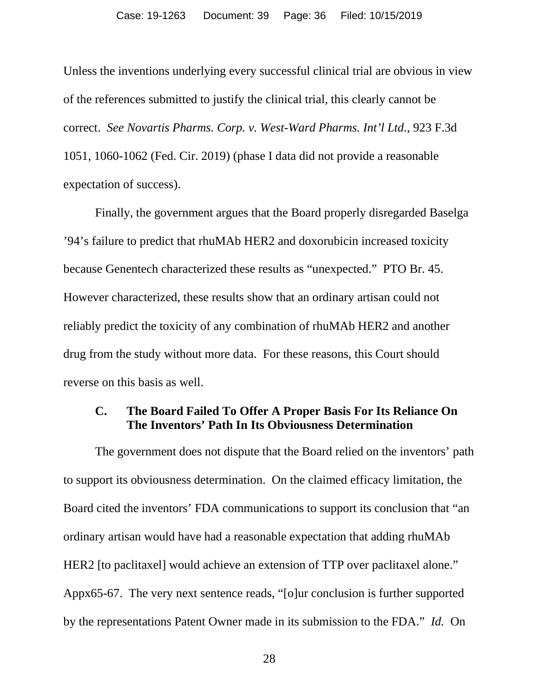Unless the inventions underlying every successful clinical trial are obvious in view of the references submitted to justify the clinical trial, this clearly cannot be correct. *See Novartis Pharms. Corp. v. West-Ward Pharms. Int'l Ltd.*, 923 F.3d 1051, 1060-1062 (Fed. Cir. 2019) (phase I data did not provide a reasonable expectation of success).

Finally, the government argues that the Board properly disregarded Baselga '94's failure to predict that rhuMAb HER2 and doxorubicin increased toxicity because Genentech characterized these results as "unexpected." PTO Br. 45. However characterized, these results show that an ordinary artisan could not reliably predict the toxicity of any combination of rhuMAb HER2 and another drug from the study without more data. For these reasons, this Court should reverse on this basis as well.

## <span id="page-35-0"></span>**C. The Board Failed To Offer A Proper Basis For Its Reliance On The Inventors' Path In Its Obviousness Determination**

The government does not dispute that the Board relied on the inventors' path to support its obviousness determination. On the claimed efficacy limitation, the Board cited the inventors' FDA communications to support its conclusion that "an ordinary artisan would have had a reasonable expectation that adding rhuMAb HER2 [to paclitaxel] would achieve an extension of TTP over paclitaxel alone." Appx65-67. The very next sentence reads, "[o]ur conclusion is further supported by the representations Patent Owner made in its submission to the FDA." *Id.* On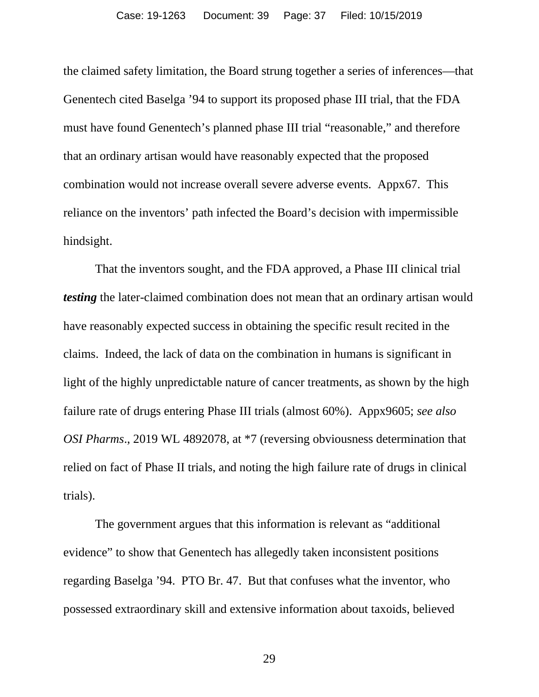the claimed safety limitation, the Board strung together a series of inferences—that Genentech cited Baselga '94 to support its proposed phase III trial, that the FDA must have found Genentech's planned phase III trial "reasonable," and therefore that an ordinary artisan would have reasonably expected that the proposed combination would not increase overall severe adverse events. Appx67. This reliance on the inventors' path infected the Board's decision with impermissible hindsight.

That the inventors sought, and the FDA approved, a Phase III clinical trial *testing* the later-claimed combination does not mean that an ordinary artisan would have reasonably expected success in obtaining the specific result recited in the claims. Indeed, the lack of data on the combination in humans is significant in light of the highly unpredictable nature of cancer treatments, as shown by the high failure rate of drugs entering Phase III trials (almost 60%). Appx9605; *see also OSI Pharms*., 2019 WL 4892078, at \*7 (reversing obviousness determination that relied on fact of Phase II trials, and noting the high failure rate of drugs in clinical trials).

The government argues that this information is relevant as "additional evidence" to show that Genentech has allegedly taken inconsistent positions regarding Baselga '94. PTO Br. 47. But that confuses what the inventor, who possessed extraordinary skill and extensive information about taxoids, believed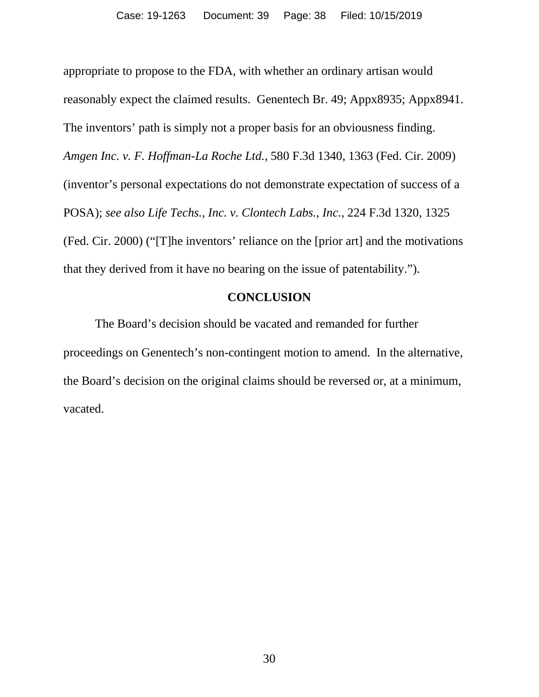appropriate to propose to the FDA, with whether an ordinary artisan would reasonably expect the claimed results. Genentech Br. 49; Appx8935; Appx8941. The inventors' path is simply not a proper basis for an obviousness finding. *Amgen Inc. v. F. Hoffman-La Roche Ltd.*, 580 F.3d 1340, 1363 (Fed. Cir. 2009) (inventor's personal expectations do not demonstrate expectation of success of a POSA); *see also Life Techs., Inc. v. Clontech Labs., Inc.*, 224 F.3d 1320, 1325 (Fed. Cir. 2000) ("[T]he inventors' reliance on the [prior art] and the motivations that they derived from it have no bearing on the issue of patentability.").

## **CONCLUSION**

<span id="page-37-0"></span>The Board's decision should be vacated and remanded for further proceedings on Genentech's non-contingent motion to amend. In the alternative, the Board's decision on the original claims should be reversed or, at a minimum, vacated.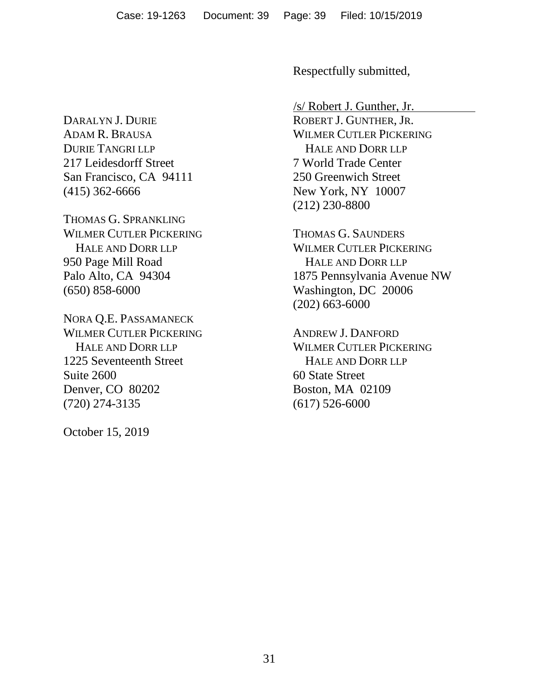DARALYN J. DURIE ADAM R. BRAUSA DURIE TANGRI LLP 217 Leidesdorff Street San Francisco, CA 94111 (415) 362-6666

THOMAS G. SPRANKLING WILMER CUTLER PICKERING HALE AND DORR LLP 950 Page Mill Road Palo Alto, CA 94304 (650) 858-6000

NORA Q.E. PASSAMANECK WILMER CUTLER PICKERING HALE AND DORR LLP 1225 Seventeenth Street Suite 2600 Denver, CO 80202 (720) 274-3135

October 15, 2019

Respectfully submitted,

/s/ Robert J. Gunther, Jr. ROBERT J. GUNTHER, JR. WILMER CUTLER PICKERING HALE AND DORR LLP 7 World Trade Center 250 Greenwich Street New York, NY 10007 (212) 230-8800

THOMAS G. SAUNDERS WILMER CUTLER PICKERING HALE AND DORR LLP 1875 Pennsylvania Avenue NW Washington, DC 20006 (202) 663-6000

ANDREW J. DANFORD WILMER CUTLER PICKERING HALE AND DORR LLP 60 State Street Boston, MA 02109 (617) 526-6000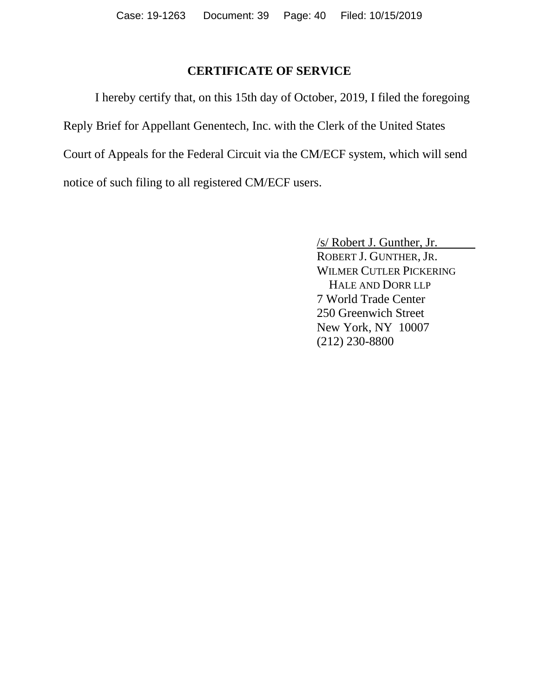## **CERTIFICATE OF SERVICE**

I hereby certify that, on this 15th day of October, 2019, I filed the foregoing Reply Brief for Appellant Genentech, Inc. with the Clerk of the United States Court of Appeals for the Federal Circuit via the CM/ECF system, which will send notice of such filing to all registered CM/ECF users.

> /s/ Robert J. Gunther, Jr. ROBERT J. GUNTHER, JR. WILMER CUTLER PICKERING HALE AND DORR LLP 7 World Trade Center 250 Greenwich Street New York, NY 10007 (212) 230-8800